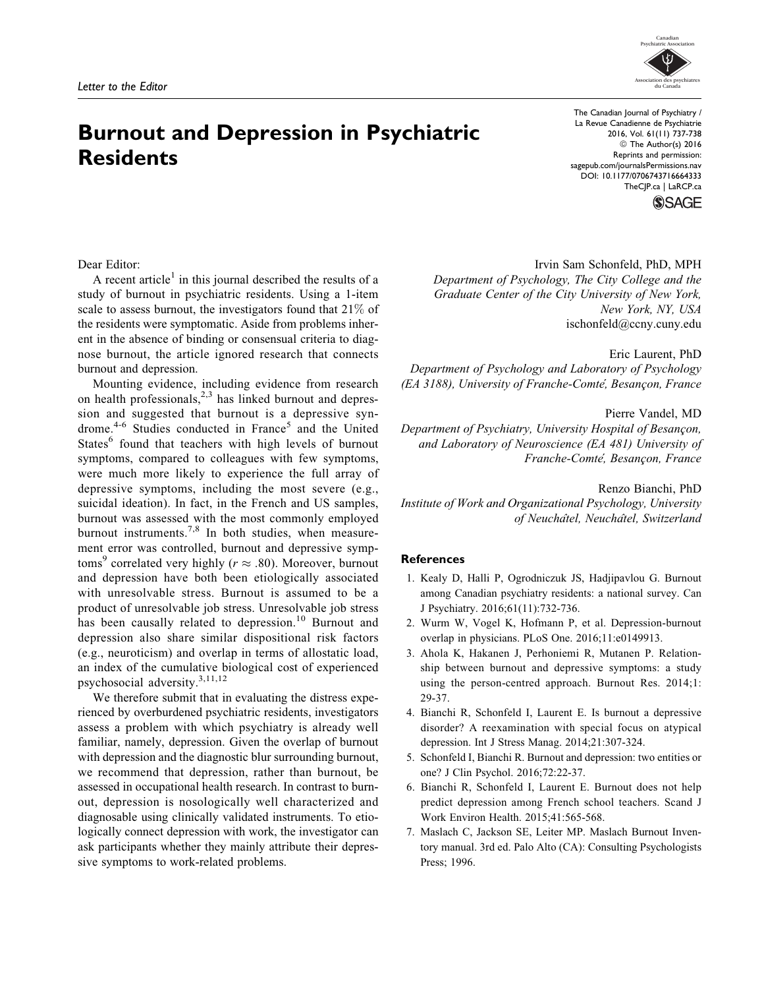# Burnout and Depression in Psychiatric **Residents**

The Canadian Journal of Psychiatry / La Revue Canadienne de Psychiatrie 2016, Vol. 61(11) 737-738 © The Author(s) 2016 Reprints and permission: [sagepub.com/journalsPermissions.nav](http://www.sagepub.com/journalsPermissions.nav) DOI: 10.1177/0706743716664333 [TheCJP.ca](http://thecjp.ca) | [LaRCP.ca](http://larcp.ca)



## Dear Editor:

A recent article<sup>1</sup> in this journal described the results of a study of burnout in psychiatric residents. Using a 1-item scale to assess burnout, the investigators found that 21% of the residents were symptomatic. Aside from problems inherent in the absence of binding or consensual criteria to diagnose burnout, the article ignored research that connects burnout and depression.

Mounting evidence, including evidence from research on health professionals, $2,3$  has linked burnout and depression and suggested that burnout is a depressive syndrome.<sup>4-6</sup> Studies conducted in France<sup>5</sup> and the United States<sup>6</sup> found that teachers with high levels of burnout symptoms, compared to colleagues with few symptoms, were much more likely to experience the full array of depressive symptoms, including the most severe (e.g., suicidal ideation). In fact, in the French and US samples, burnout was assessed with the most commonly employed burnout instruments.<sup>7,8</sup> In both studies, when measurement error was controlled, burnout and depressive symptoms<sup>9</sup> correlated very highly ( $r \approx .80$ ). Moreover, burnout and depression have both been etiologically associated with unresolvable stress. Burnout is assumed to be a product of unresolvable job stress. Unresolvable job stress has been causally related to depression.<sup>10</sup> Burnout and depression also share similar dispositional risk factors (e.g., neuroticism) and overlap in terms of allostatic load, an index of the cumulative biological cost of experienced psychosocial adversity.3,11,12

We therefore submit that in evaluating the distress experienced by overburdened psychiatric residents, investigators assess a problem with which psychiatry is already well familiar, namely, depression. Given the overlap of burnout with depression and the diagnostic blur surrounding burnout, we recommend that depression, rather than burnout, be assessed in occupational health research. In contrast to burnout, depression is nosologically well characterized and diagnosable using clinically validated instruments. To etiologically connect depression with work, the investigator can ask participants whether they mainly attribute their depressive symptoms to work-related problems.

#### Irvin Sam Schonfeld, PhD, MPH

Department of Psychology, The City College and the Graduate Center of the City University of New York, New York, NY, USA ischonfeld@ccny.cuny.edu

Eric Laurent, PhD Department of Psychology and Laboratory of Psychology (EA 3188), University of Franche-Comte, Besançon, France

#### Pierre Vandel, MD

Department of Psychiatry, University Hospital of Besançon, and Laboratory of Neuroscience (EA 481) University of Franche-Comte', Besançon, France

Renzo Bianchi, PhD Institute of Work and Organizational Psychology, University of Neuchâtel, Neuchâtel, Switzerland

### References

- 1. Kealy D, Halli P, Ogrodniczuk JS, Hadjipavlou G. Burnout among Canadian psychiatry residents: a national survey. Can J Psychiatry. 2016;61(11):732-736.
- 2. Wurm W, Vogel K, Hofmann P, et al. Depression-burnout overlap in physicians. PLoS One. 2016;11:e0149913.
- 3. Ahola K, Hakanen J, Perhoniemi R, Mutanen P. Relationship between burnout and depressive symptoms: a study using the person-centred approach. Burnout Res. 2014;1: 29-37.
- 4. Bianchi R, Schonfeld I, Laurent E. Is burnout a depressive disorder? A reexamination with special focus on atypical depression. Int J Stress Manag. 2014;21:307-324.
- 5. Schonfeld I, Bianchi R. Burnout and depression: two entities or one? J Clin Psychol. 2016;72:22-37.
- 6. Bianchi R, Schonfeld I, Laurent E. Burnout does not help predict depression among French school teachers. Scand J Work Environ Health. 2015;41:565-568.
- 7. Maslach C, Jackson SE, Leiter MP. Maslach Burnout Inventory manual. 3rd ed. Palo Alto (CA): Consulting Psychologists Press; 1996.